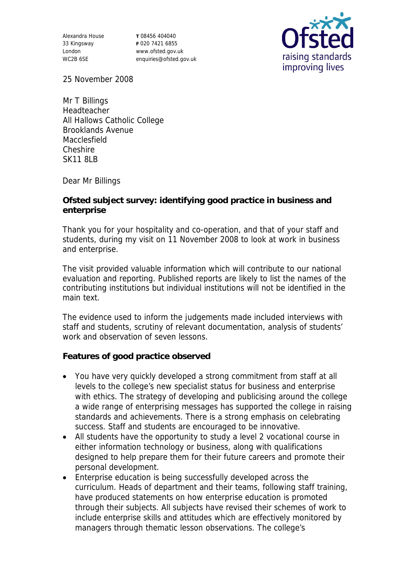Alexandra House 33 Kingsway London WC2B 6SE

**T** 08456 404040 **F** 020 7421 6855 www.ofsted.gov.uk enquiries@ofsted.gov.uk



25 November 2008

Mr T Billings Headteacher All Hallows Catholic College Brooklands Avenue Macclesfield Cheshire SK11 8LB

Dear Mr Billings

**Ofsted subject survey: identifying good practice in business and enterprise** 

Thank you for your hospitality and co-operation, and that of your staff and students, during my visit on 11 November 2008 to look at work in business and enterprise.

The visit provided valuable information which will contribute to our national evaluation and reporting. Published reports are likely to list the names of the contributing institutions but individual institutions will not be identified in the main text.

The evidence used to inform the judgements made included interviews with staff and students, scrutiny of relevant documentation, analysis of students' work and observation of seven lessons.

**Features of good practice observed**

- You have very quickly developed a strong commitment from staff at all levels to the college's new specialist status for business and enterprise with ethics. The strategy of developing and publicising around the college a wide range of enterprising messages has supported the college in raising standards and achievements. There is a strong emphasis on celebrating success. Staff and students are encouraged to be innovative.
- All students have the opportunity to study a level 2 vocational course in either information technology or business, along with qualifications designed to help prepare them for their future careers and promote their personal development.
- Enterprise education is being successfully developed across the curriculum. Heads of department and their teams, following staff training, have produced statements on how enterprise education is promoted through their subjects. All subjects have revised their schemes of work to include enterprise skills and attitudes which are effectively monitored by managers through thematic lesson observations. The college's